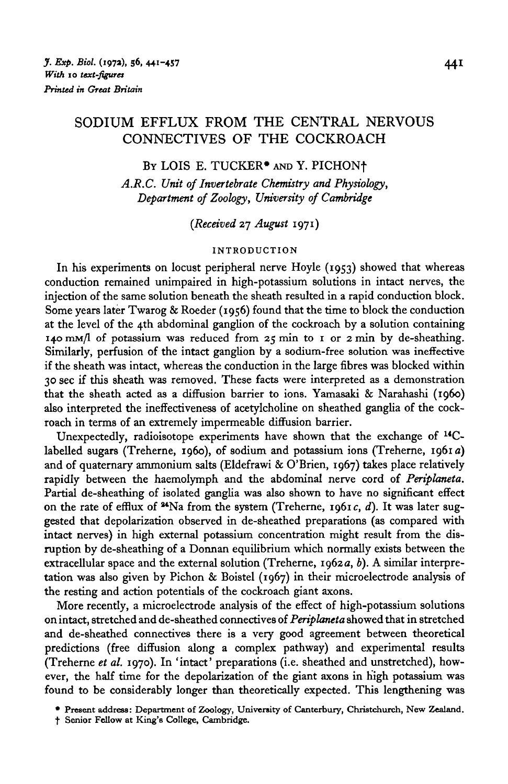# SODIUM EFFLUX FROM THE CENTRAL NERVOUS CONNECTIVES OF THE COCKROACH

# BY LOIS E. TUCKER\* AND Y. PICHONf

*A.R.C. Unit of Invertebrate Chemistry and Physiology, Department of Zoology, University of Cambridge*

*{Received* 27 *August* 1971)

INTRODUCTION<br>In his experiments on locust peripheral nerve Hoyle (1953) showed that whereas conduction remained unimpaired in high-potassium solutions in intact nerves, the injection of the same solution beneath the sheath resulted in a rapid conduction block. Some years later Twarog & Roeder (1956) found that the time to block the conduction at the level of the 4th abdominal ganglion of the cockroach by a solution containing 140 mm/l of potassium was reduced from  $25$  min to 1 or  $2$  min by de-sheathing. Similarly, perfusion of the intact ganglion by a sodium-free solution was ineffective if the sheath was intact, whereas the conduction in the large fibres was blocked within 30 sec if this sheath was removed. These facts were interpreted as a demonstration that the sheath acted as a diffusion barrier to ions. Yamasaki & Narahashi (1960) that the sheath acted as a diffusion barrier to ions. Yamasaki & Narahashi (i960) also interpreted the ineffectiveness of acceptentific on sheathed ganglia of the cockroach in terms of an extremely impermeable diffusion barrier.<br>Unexpectedly, radioisotope experiments have shown that the exchange of <sup>14</sup>C-

Unexpectedly, radioisotope experiments have shown that the exchange of  $\sim$ and of quaternary ammonium salts (Eldefrawi & O'Brien, 1967) takes place relatively rapidly between the haemolymph and the abdominal nerve cord of Periplaneta. Partial de-sheathing of isolated ganglia was also shown to have no significant effect on the rate of efflux of  $4Na$  from the system (Treherne, 1961c, d). It was later suggested that depolarization observed in de-sheathed preparations (as compared with intact nerves) in high external potassium concentration might result from the disruption by de-sheathing of a Donnan equilibrium which normally exists between the extracellular space and the external solution (Treherne, 1962 $a$ , b). A similar interpreextracellular space and the external solution (Treherne, 1962a, *b).* A similar interpretation was also given by Pichon & Boistel (1967) in their microelectrode analysis of the resting and action potentials of the cockroach giant axons.<br>More recently, a microelectrode analysis of the effect of high-potassium solutions

More recently, a microelectrode analysis of the effect of high-potassium solutions on intact, stretched and de-sheathed connectives of *Periplaneta* showed that in stretched and de-sheathed connectives there is a very good agreement between theoretical predictions (free diffusion along a complex pathway) and experimental results predictions (free diffusion along a complex pathway) and experimental results (Treherne *et al.* 1970). In 'intact' preparations (i.e. sheathed and unstretched), however, the half time for the depolarization of the giant axons in high potassium was found to be considerably longer than theoretically expected. This lengthening was

<sup>•</sup> Present address: Department of Zoology, University of Canterbury, Christchurch, New Zealand,

t Senior Fellow at King's College, Cambridge.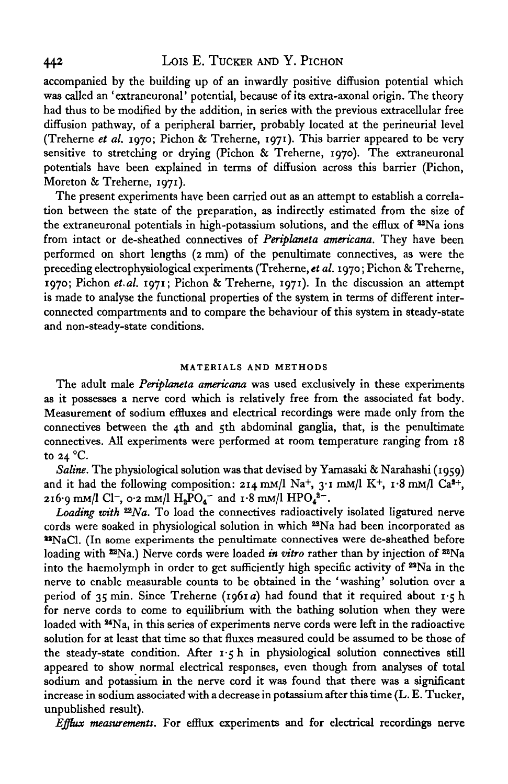# 442 Lois E. TUCKER AND Y. PICHON

accompanied by the building up of an inwardly positive diffusion potential which was called an 'extraneuronal' potential, because of its extra-axonal origin. The theory had thus to be modified by the addition, in series with the previous extracellular free diffusion pathway, of a peripheral barrier, probably located at the perineurial level (Treherne *et al.* 1970; Pichon & Treherne, 1971). This barrier appeared to be very sensitive to stretching or drying (Pichon & Treherne, 1970). The extraneuronal potentials have been explained in terms of diffusion across this barrier (Pichon, Moreton & Treherne, 1971).

The present experiments have been carried out as an attempt to establish a correlation between the state of the preparation, as indirectly estimated from the size of the extraneuronal potentials in high-potassium solutions, and the efflux of <sup>32</sup>Na ions from intact or de-sheathed connectives of *Periplaneta americana.* They have been performed on short lengths (2 mm) of the penultimate connectives, as were the preceding electrophysiological experiments (Treherne, *et al.* 1970; Pichon & Treherne, 1970; Pichon *et.al.* 1971; Pichon & Treherne, 1971). In the discussion an attempt is made to analyse the functional properties of the system in terms of different interconnected compartments and to compare the behaviour of this system in steady-state and non-steady-state conditions.

### **MATERIALS AND METHODS**

The adult male *Periplaneta americana* was used exclusively in these experiments as it possesses a nerve cord which is relatively free from the associated fat body. Measurement of sodium effluxes and electrical recordings were made only from the connectives between the 4th and 5th abdominal ganglia, that, is the penultimate connectives. All experiments were performed at room temperature ranging from 18 to 24 °C.

*Saline.* The physiological solution was that devised by Yamasaki & Narahashi (1959) and it had the following composition:  $2I4$  mM/l Na+,  $3I$  mM/l K+,  $I.8$  mM/l Ca<sup>2+</sup>, 216.9 mm/l Cl<sup>-</sup>, 0.2 mm/l  $H_2PO_4$ <sup>-</sup> and 1.8 mm/l  $HPO_4^{2-}$ .

Loading with <sup>22</sup>Na. To load the connectives radioactively isolated ligatured nerve cords were soaked in physiological solution in which  $22\text{Na}$  had been incorporated as 22NaCl. (In some experiments the penultimate connectives were de-sheathed before loading with <sup>12</sup>Na.) Nerve cords were loaded *in vitro* rather than by injection of <sup>22</sup>Na into the haemolymph in order to get sufficiently high specific activity of <sup>22</sup>Na in the nerve to enable measurable counts to be obtained in the 'washing' solution over a period of 35 min. Since Treherne (1961a) had found that it required about 1.5 h for nerve cords to come to equilibrium with the bathing solution when they were loaded with <sup>24</sup>Na, in this series of experiments nerve cords were left in the radioactive solution for at least that time so that fluxes measured could be assumed to be those of the steady-state condition. After 1-5 h in physiological solution connectives still appeared to show normal electrical responses, even though from analyses of total sodium and potassium in the nerve cord it was found that there was a significant increase in sodium associated with a decrease in potassium after this time (L. E. Tucker, unpublished result).

*Efflux measurements.* For efflux experiments and for electrical recordings nerve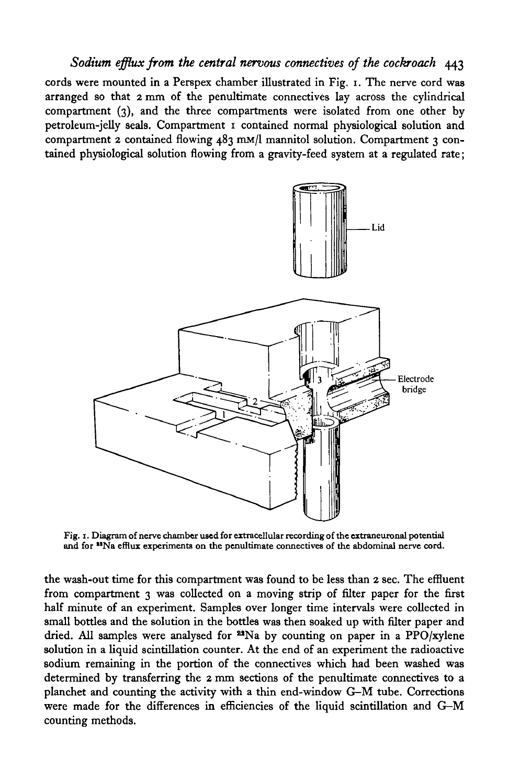# *Sodium efflux from the central nervous connectives of the cockroach* 443

cords were mounted in a Perspex chamber illustrated in Fig. 1. The nerve cord was arranged so that 2 mm of the penultimate connectives lay across the cylindrical compartment (3), and the three compartments were isolated from one other by petroleum-jelly seals. Compartment 1 contained normal physiological solution and compartment 2 contained flowing 483 mM/l mannitol solution. Compartment 3 contained physiological solution flowing from a gravity-feed system at a regulated rate;



Fig. 1. Diagram of nerve chamber used for extracellular recording of the extraneuronal potential and for <sup>19</sup>Na efflux experiments on the penultimate connectives of the abdominal nerve cord.

the wash-out time for this compartment was found to be less than 2 sec. The effluent from compartment 3 was collected on a moving strip of filter paper for the first half minute of an experiment. Samples over longer time intervals were collected in small bottles and the solution in the bottles was then soaked up with filter paper and dried. All samples were analysed for  $^{23}$ Na by counting on paper in a PPO/xylene solution in a liquid scintillation counter. At the end of an experiment the radioactive sodium remaining in the portion of the connectives which had been washed was determined by transferring the 2 mm sections of the penultimate connectives to a planchet and counting the activity with a thin end-window G-M tube. Corrections were made for the differences in efficiencies of the liquid scintillation and G-M counting methods.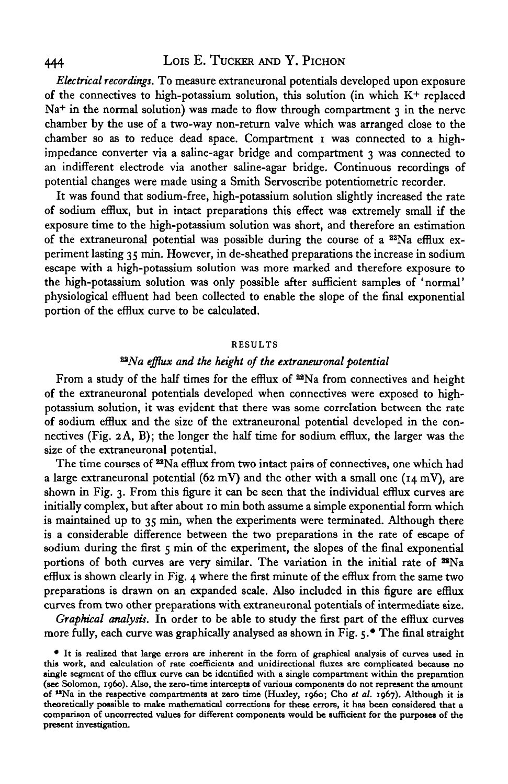# 444 LOIS E. TUCKER AND Y. PICHON

*Electrical recordings.* To measure extraneuronal potentials developed upon exposure of the connectives to high-potassium solution, this solution (in which  $K^+$  replaced Na<sup>+</sup> in the normal solution) was made to flow through compartment 3 in the nerve chamber by the use of a two-way non-return valve which was arranged close to the chamber so as to reduce dead space. Compartment I was connected to a highimpedance converter via a saline-agar bridge and compartment 3 was connected to an indifferent electrode via another saline-agar bridge. Continuous recordings of potential changes were made using a Smith Servoscribe potentiometric recorder.

It was found that sodium-free, high-potassium solution slightly increased the rate of sodium efflux, but in intact preparations this effect was extremely small if the exposure time to the high-potassium solution was short, and therefore an estimation of the extraneuronal potential was possible during the course of a  $22Na$  efflux experiment lasting 35 min. However, in de-sheathed preparations the increase in sodium escape with a high-potassium solution was more marked and therefore exposure to the high-potassium solution was only possible after sufficient samples of 'normal' physiological effluent had been collected to enable the slope of the final exponential portion of the efflux curve to be calculated.

### **RESULTS**

## *^Na efflux and the height of the extraneuronal potential*

From a study of the half times for the efflux of <sup>22</sup>Na from connectives and height of the extraneuronal potentials developed when connectives were exposed to highpotassium solution, it was evident that there was some correlation between the rate of sodium efflux and the size of the extraneuronal potential developed in the connectives (Fig.  $2 \text{A}, \text{B}$ ); the longer the half time for sodium efflux, the larger was the size of the extraneuronal potential.

The time courses of <sup>22</sup>Na efflux from two intact pairs of connectives, one which had a large extraneuronal potential (62 mV) and the other with a small one ( $14$  mV), are shown in Fig. 3. From this figure it can be seen that the individual efflux curves are initially complex, but after about 10 min both assume a simple exponential form which is maintained up to 35 min, when the experiments were terminated. Although there is a considerable difference between the two preparations in the rate of escape of sodium during the first 5 min of the experiment, the slopes of the final exponential portions of both curves are very similar. The variation in the initial rate of  $^{22}$ Na efflux is shown clearly in Fig. 4 where the first minute of the efflux from the same two preparations is drawn on an expanded scale. Also included in this figure are efflux curves from two other preparations with extraneuronal potentials of intermediate size.

*Graphical analysis.* In order to be able to study the first part of the efflux curves more fully, each curve was graphically analysed as shown in Fig. 5.\* The final straight

<sup>•</sup> It is realized that large errors are inherent in the form of graphical analysis of curves used in this work, and calculation of rate coefficients and unidirectional fluxes are complicated because no single segment of th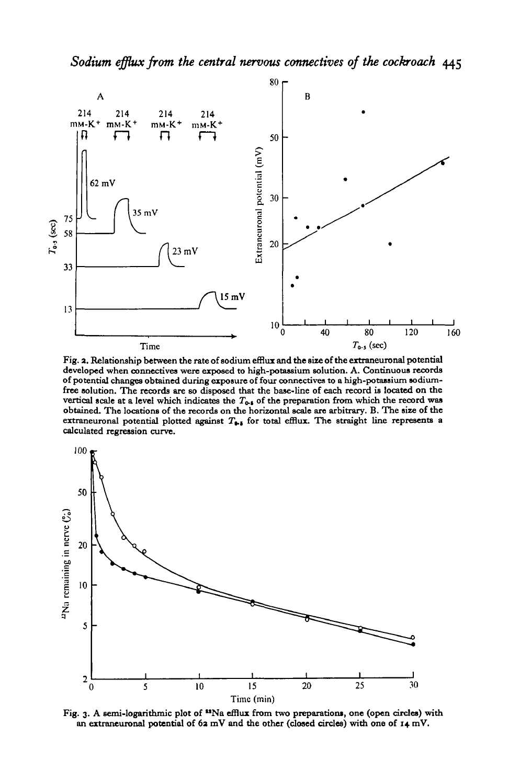

**Fig. a. Relationship between the rate of sodium efflux and the size of the extraneuronal potential developed when connectives were exposed to high-potassium solution. A. Continuous records of potential changes obtained during exposure of four connectives to a high-potassium sodiumfree solution. The records are so disposed that the base-line of each record is located on the** vertical scale at a level which indicates the  $T_{0.6}$  of the preparation from which the record was **obtained. The locations of the records on the horizontal scale are arbitrary. B. The size of the** extraneuronal potential plotted against  $T_{\phi, \phi}$  for total efflux. The straight line represents a **calculated regression curve.**



Fig. 3. A semi-logarithmic plot of <sup>12</sup>Na efflux from two preparations, one (open circles) with **an extraneuronal potential of 6a mV and the other (closed circles) with one of 14 mV.**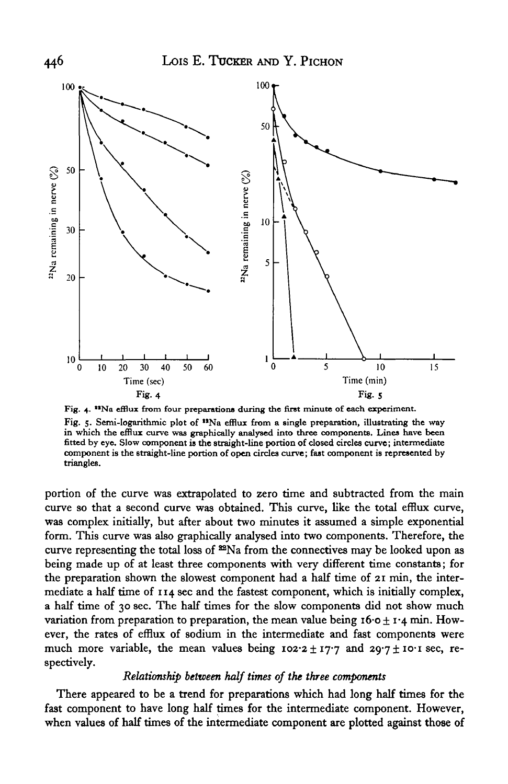

**Fig. 4. "Na efflux from four preparations during the first minute of each experiment. Fig. 5. Semi-logarithmic plot of "Na efflux from a single preparation, illustrating the way in which the efflux curve was graphically analysed into three components. Lines have been fitted by eye. Slow component is the straight-line portion of closed circles curve; intermediate component is the straight-line portion of open circles curve; fast component is represented by triangles.**

portion of the curve was extrapolated to zero time and subtracted from the main curve so that a second curve was obtained. This curve, like the total efflux curve, was complex initially, but after about two minutes it assumed a simple exponential form. This curve was also graphically analysed into two components. Therefore, the curve representing the total loss of  $^{82}Na$  from the connectives may be looked upon as being made up of at least three components with very different time constants; for the preparation shown the slowest component had a half time of 21 min, the intermediate a half time of 114 sec and the fastest component, which is initially complex, a half time of 30 sec. The half times for the slow components did not show much variation from preparation to preparation, the mean value being  $16 \cdot 0 \pm 1 \cdot 4$  min. However, the rates of efflux of sodium in the intermediate and fast components were much more variable, the mean values being  $102.2 \pm 17.7$  and  $29.7 \pm 10.1$  sec, respectively.

# *Relationship between half times of the three components*

There appeared to be a trend for preparations which had long half times for the fast component to have long half times for the intermediate component. However, when values of half times of the intermediate component are plotted against those of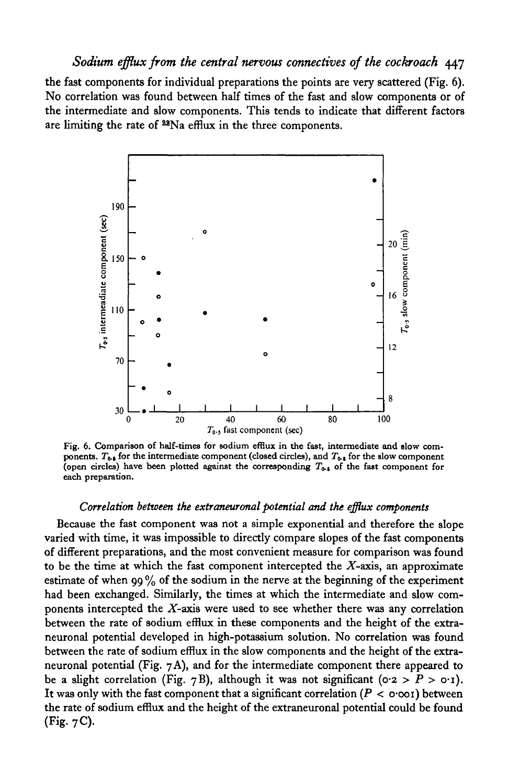# *Sodium efflux from the central nervous connectives of the cockroach* 447

the fast components for individual preparations the points are very scattered (Fig. 6). No correlation was found between half times of the fast and slow components or of the intermediate and slow components. This tends to indicate that different factors are limiting the rate of <sup>22</sup>Na efflux in the three components.



Fig. 6. Comparison of half-times for sodium efflux in the fast, intermediate and slow components.  $T_{0.5}$  for the intermediate component (closed circles), and  $T_{0.5}$  for the slow component (open circles) have been plotted against the corresponding  $T_{0.5}$  of the fast component for each preparation.

## *Correlation between the extraneuronal potential and the efflux components*

Because the fast component was not a simple exponential and therefore the slope varied with time, it was impossible to directly compare slopes of the fast components of different preparations, and the most convenient measure for comparison was found to be the time at which the fast component intercepted the  $X$ -axis, an approximate estimate of when 99% of the sodium in the nerve at the beginning of the experiment had been exchanged. Similarly, the times at which the intermediate and slow components intercepted the  $X$ -axis were used to see whether there was any correlation between the rate of sodium efflux in these components and the height of the extraneuronal potential developed in high-potassium solution. No correlation was found between the rate of sodium efflux in the slow components and the height of the extraneuronal potential (Fig. 7 A), and for the intermediate component there appeared to be a slight correlation (Fig. 7B), although it was not significant ( $0.2 > P > 0.1$ ). It was only with the fast component that a significant correlation  $(P < o<sub>o</sub>)$  between the rate of sodium efflux and the height of the extraneuronal potential could be found (Fig. 7C).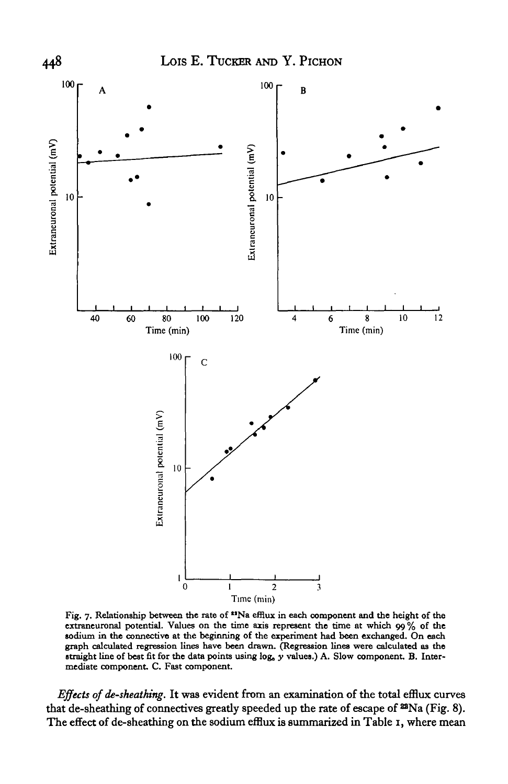

**Fig. 7. Relationship between the rate of "Na efflux in each component and the height of the extraneuronal potential. Values on the time axis represent the time at which 99% of the sodium in the connective at the beginning of the experiment had been exchanged. On each graph calculated regression lines have been drawn. (Regression lines were calculated as the straight line of best fit for the data points using log,** *y* **values.) A. Slow component. B. Intermediate component. C. Fast component.**

*Effects of de-sheathing.* It was evident from an examination of the total efflux curves that de-sheathing of connectives greatly speeded up the rate of escape of 22Na (Fig. 8). The effect of de-sheathing on the sodium efflux is summarized in Table 1, where mean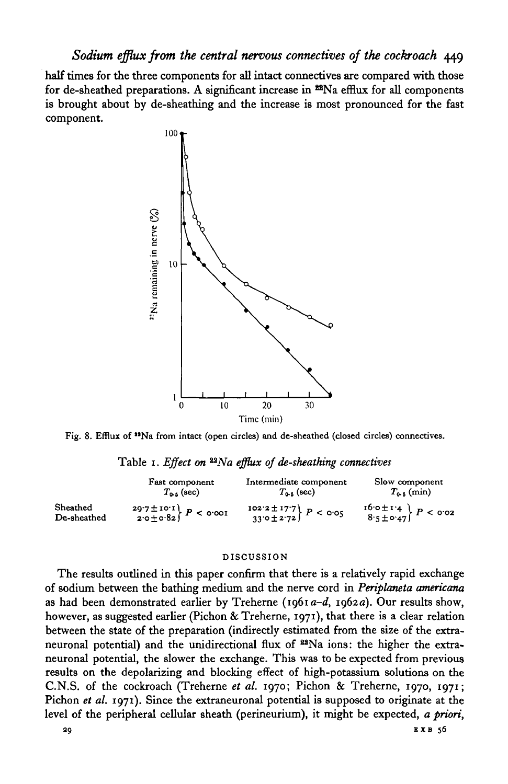# *Sodium efflux from the central nervous connectives of the cockroach* 449

half times for the three components for all intact connectives are compared with those for de-sheathed preparations. A significant increase in  $22$ Na efflux for all components is brought about by de-sheathing and the increase is most pronounced for the fast component.



Fig. 8. Efflux of <sup>19</sup>Na from intact (open circles) and de-sheathed (closed circles) connectives.

|  |  |  | Table 1. Effect on <sup>22</sup> Na efflux of de-sheathing connectives |  |
|--|--|--|------------------------------------------------------------------------|--|
|  |  |  |                                                                        |  |

|                         | Fast component                                                        | Intermediate component                                                                | Slow component                                                                                  |
|-------------------------|-----------------------------------------------------------------------|---------------------------------------------------------------------------------------|-------------------------------------------------------------------------------------------------|
|                         | $T_{\text{max}}$ (sec)                                                | $T_{0.5}$ (sec)                                                                       | $T_{0.5}$ (min)                                                                                 |
| Sheathed<br>De-sheathed | $\begin{cases} 29.7 \pm 10.1 \\ 2.0 \pm 0.82 \end{cases}$ $P <$ 0.001 | $\begin{array}{c} \text{102.2} \pm 17.7 \\ 33.0 \pm 2.72 \end{array} P < \text{o·o5}$ | $\left\{\n \begin{array}{c}\n 16.0 \pm 1.4 \\ 8.5 \pm 0.47\n \end{array}\n \right\}\n P < 0.02$ |

#### DISCUSSION

The results outlined in this paper confirm that there is a relatively rapid exchange of sodium between the bathing medium and the nerve cord in *Periplemeta americana* as had been demonstrated earlier by Treherne (1961 *a-d,* 1962a). Our results show, however, as suggested earlier (Pichon & Treherne, 1971), that there is a clear relation between the state of the preparation (indirectly estimated from the size of the extraneuronal potential) and the unidirectional flux of <sup>22</sup>Na ions: the higher the extraneuronal potential, the slower the exchange. This was to be expected from previous results on the depolarizing and blocking effect of high-potassium solutions on the C.N.S. of the cockroach (Treherne *et al.* 1970; Pichon & Treherne, 1970, 1971; Pichon *et al.* 1971). Since the extraneuronal potential is supposed to originate at the level of the peripheral cellular sheath (perineurium), it might be expected, *a priori,*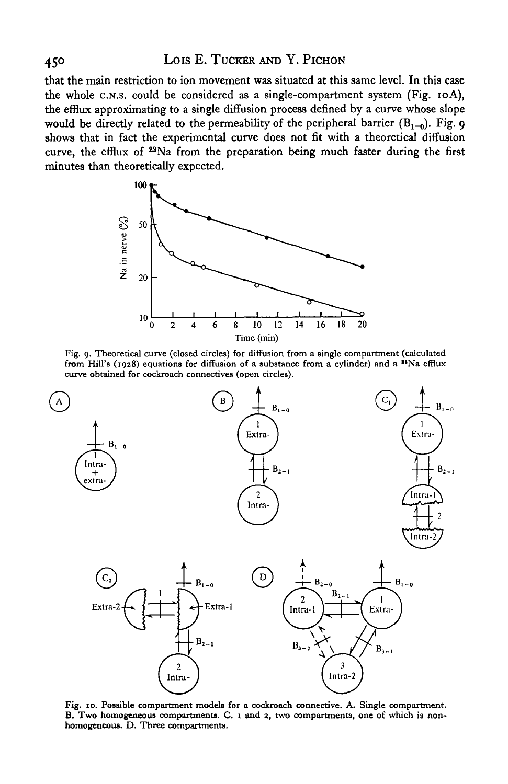# 450 Lois E. TUCKER AND Y. PICHON

that the main restriction to ion movement was situated at this same level. In this case the whole C.N.S. could be considered as a single-compartment system (Fig. 10A), the efflux approximating to a single diffusion process defined by a curve whose slope would be directly related to the permeability of the peripheral barrier  $(B<sub>1-0</sub>)$ . Fig. 9 shows that in fact the experimental curve does not fit with a theoretical diffusion curve, the efflux of <sup>22</sup>Na from the preparation being much faster during the first minutes than theoretically expected.



Fig. 9. Theoretical curve (closed circles) for diffusion from a single compartment (calculated from Hill's (1928) equations for diffusion of a substance from a cylinder) and a \*\*Na efflux curve obtained for cockroach connectives (open circles).



Fig. 10. Possible compartment models for a cockroach connective. A. Single compartment.<br>B. Two homogeneous compartments. C. 1 and 2, two compartments, one of which is non-homogeneous. D. Three compartments.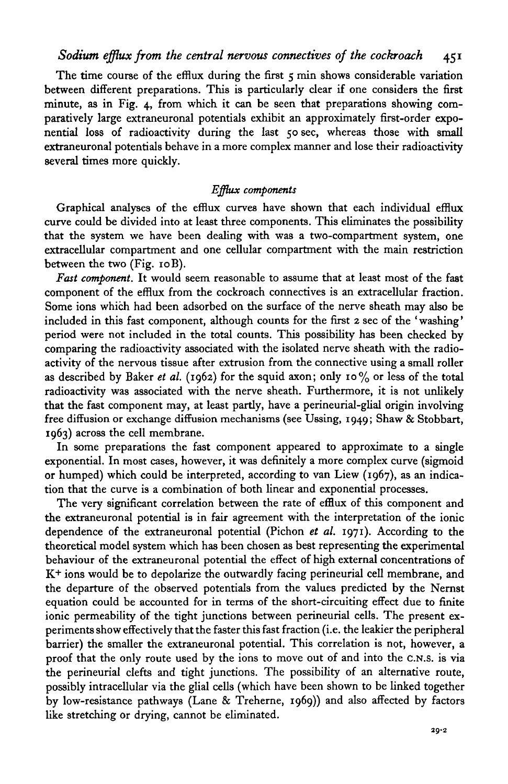The time course of the efflux during the first 5 min shows considerable variation between different preparations. This is particularly clear if one considers the first minute, as in Fig. 4, from which it can be seen that preparations showing comparatively large extraneuronal potentials exhibit an approximately first-order exponential loss of radioactivity during the last 50 sec, whereas those with small extraneuronal potentials behave in a more complex manner and lose their radioactivity several times more quickly.

## *Efflux components*

Graphical analyses of the efflux curves have shown that each individual efflux curve could be divided into at least three components. This eliminates the possibility that the system we have been dealing with was a two-compartment system, one extracellular compartment and one cellular compartment with the main restriction between the two (Fig. 10 B).

*Fast component.* It would seem reasonable to assume that at least most of the fast component of the efflux from the cockroach connectives is an extracellular fraction. Some ions which had been adsorbed on the surface of the nerve sheath may also be included in this fast component, although counts for the first 2 sec of the 'washing' period were not included in the total counts. This possibility has been checked by comparing the radioactivity associated with the isolated nerve sheath with the radioactivity of the nervous tissue after extrusion from the connective using a small roller as described by Baker *et al.* (1962) for the squid axon; only 10% or less of the total radioactivity was associated with the nerve sheath. Furthermore, it is not unlikely that the fast component may, at least partly, have a perineurial-glial origin involving free diffusion or exchange diffusion mechanisms (see Ussing, 1949; Shaw & Stobbart, 1963) across the cell membrane.

In some preparations the fast component appeared to approximate to a single exponential. In most cases, however, it was definitely a more complex curve (sigmoid or humped) which could be interpreted, according to van Liew (1967), as an indication that the curve is a combination of both linear and exponential processes.

The very significant correlation between the rate of efflux of this component and the extraneuronal potential is in fair agreement with the interpretation of the ionic dependence of the extraneuronal potential (Pichon *et al.* 1971). According to the theoretical model system which has been chosen as best representing the experimental behaviour of the extraneuronal potential the effect of high external concentrations of K+ ions would be to depolarize the outwardly facing perineurial cell membrane, and the departure of the observed potentials from the values predicted by the Nernst equation could be accounted for in terms of the short-circuiting effect due to finite ionic permeability of the tight junctions between perineurial cells. The present experiments show effectively that the faster this fast fraction (i.e. the leakier the peripheral barrier) the smaller the extraneuronal potential. This correlation is not, however, a proof that the only route used by the ions to move out of and into the C.N.S. is via the perineurial clefts and tight junctions. The possibility of an alternative route, possibly intracellular via the glial cells (which have been shown to be linked together by low-resistance pathways (Lane & Treherne, 1969)) and also affected by factors like stretching or drying, cannot be eliminated.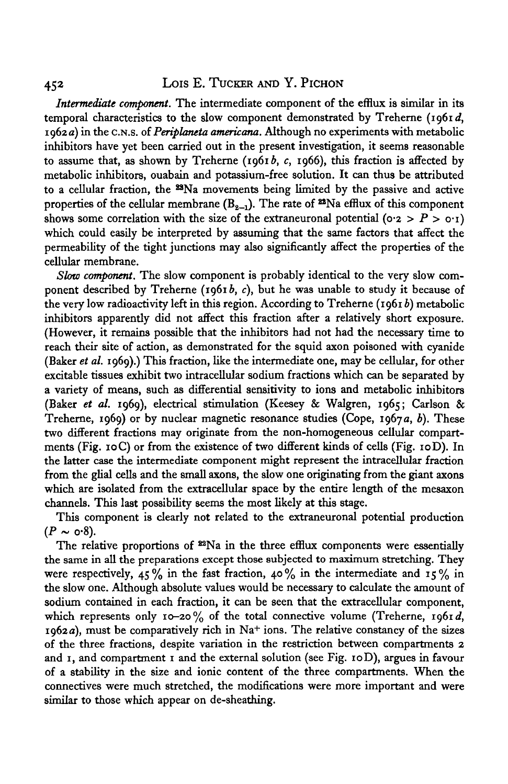# 452 Lois E. TUCKER AND Y. PICHON

*Intermediate component.* The intermediate component of the efflux is similar in its temporal characteristics to the slow component demonstrated by Treherne (1961d, 1962 a) in the C.N.S. of *Periplaneta americana.* Although no experiments with metabolic inhibitors have yet been carried out in the present investigation, it seems reasonable to assume that, as shown by Treherne (1961 $b$ ,  $c$ , 1966), this fraction is affected by metabolic inhibitors, ouabain and potassium-free solution. It can thus be attributed to a cellular fraction, the <sup>22</sup>Na movements being limited by the passive and active properties of the cellular membrane  $(B_{2-1})$ . The rate of  $22$ Na efflux of this component shows some correlation with the size of the extraneuronal potential ( $o \cdot z > P > o \cdot i$ ) which could easily be interpreted by assuming that the same factors that affect the permeability of the tight junctions may also significantly affect the properties of the cellular membrane.

*Slow component.* The slow component is probably identical to the very slow component described by Treherne (1961*b, c*), but he was unable to study it because of the very low radioactivity left in this region. According to Treherne (1961 *b)* metabolic inhibitors apparently did not affect this fraction after a relatively short exposure. (However, it remains possible that the inhibitors had not had the necessary time to reach their site of action, as demonstrated for the squid axon poisoned with cyanide (Baker *et al.* 1969).) This fraction, like the intermediate one, may be cellular, for other excitable tissues exhibit two intracellular sodium fractions which can be separated by a variety of means, such as differential sensitivity to ions and metabolic inhibitors (Baker *et al.* 1969), electrical stimulation (Keesey & Walgren, 1965; Carlson & Treherne, 1969) or by nuclear magnetic resonance studies (Cope, 1967 a, *b).* These two different fractions may originate from the non-homogeneous cellular compartments (Fig. 10C) or from the existence of two different kinds of cells (Fig. 10D). In the latter case the intermediate component might represent the intracellular fraction from the glial cells and the small axons, the slow one originating from the giant axons which are isolated from the extracellular space by the entire length of the mesaxon channels. This last possibility seems the most likely at this stage.

This component is clearly not related to the extraneuronal potential production  $(P \sim \text{o-8}).$ 

The relative proportions of  $^{22}Na$  in the three efflux components were essentially the same in all the preparations except those subjected to maximum stretching. They were respectively, 45% in the fast fraction, 40% in the intermediate and  $15\%$  in the slow one. Although absolute values would be necessary to calculate the amount of sodium contained in each fraction, it can be seen that the extracellular component, which represents only 10-20% of the total connective volume (Treherne, 1961d,  $1962a$ , must be comparatively rich in Na+ ions. The relative constancy of the sizes of the three fractions, despite variation in the restriction between compartments 2 and  $\overline{1}$ , and compartment  $\overline{1}$  and the external solution (see Fig. 10D), argues in favour of a stability in the size and ionic content of the three compartments. When the connectives were much stretched, the modifications were more important and were similar to those which appear on de-sheathing.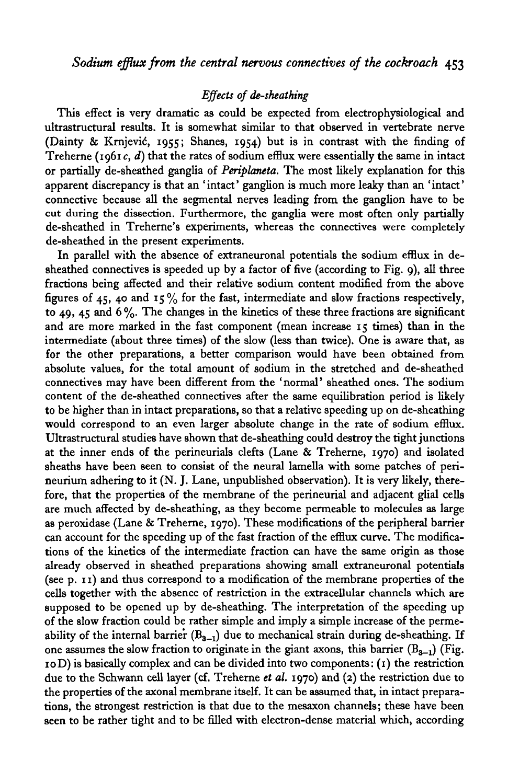# *Effects of de-sheathing*

This effect is very dramatic as could be expected from electrophysiological and ultrastructural results. It is somewhat similar to that observed in vertebrate nerve (Dainty & Krnjevid, 1955; Shanes, 1954) but is in contrast with the finding of Treherne ( $1961c$ , d) that the rates of sodium efflux were essentially the same in intact or partially de-sheathed ganglia of *Periplaneta.* The most likely explanation for this apparent discrepancy is that an 'intact' ganglion is much more leaky than an 'intact' connective because all the segmental nerves leading from the ganglion have to be cut during the dissection. Furthermore, the ganglia were most often only partially de-sheathed in Treherne's experiments, whereas the connectives were completely de-sheathed in the present experiments.

In parallel with the absence of extraneuronal potentials the sodium efflux in desheathed connectives is speeded up by a factor of five (according to Fig. 9), all three fractions being affected and their relative sodium content modified from the above figures of 45, 40 and  $15\%$  for the fast, intermediate and slow fractions respectively, to 49, 45 and  $6\%$ . The changes in the kinetics of these three fractions are significant and are more marked in the fast component (mean increase 15 times) than in the intermediate (about three times) of the slow (less than twice). One is aware that, as for the other preparations, a better comparison would have been obtained from absolute values, for the total amount of sodium in the stretched and de-sheathed connectives may have been different from the 'normal' sheathed ones. The sodium content of the de-sheathed connectives after the same equilibration period is likely to be higher than in intact preparations, so that a relative speeding up on de-sheathing would correspond to an even larger absolute change in the rate of sodium efflux. Ultrastructural studies have shown that de-sheathing could destroy the tight junctions at the inner ends of the perineurials clefts (Lane & Treherne, 1970) and isolated sheaths have been seen to consist of the neural lamella with some patches of perineurium adhering to it (N. J. Lane, unpublished observation). It is very likely, therefore, that the properties of the membrane of the perineurial and adjacent glial cells are much affected by de-sheathing, as they become permeable to molecules as large as peroxidase (Lane & Treherne, 1970). These modifications of the peripheral barrier can account for the speeding up of the fast fraction of the efflux curve. The modifications of the kinetics of the intermediate fraction can have the same origin as those already observed in sheathed preparations showing small extraneuronal potentials (see p. 11) and thus correspond to a modification of the membrane properties of the cells together with the absence of restriction in the extracellular channels which are supposed to be opened up by de-sheathing. The interpretation of the speeding up of the slow fraction could be rather simple and imply a simple increase of the permeability of the internal barrier  $(B_{3-1})$  due to mechanical strain during de-sheathing. If one assumes the slow fraction to originate in the giant axons, this barrier  $(B_{3-1})$  (Fig.  $10D$ ) is basically complex and can be divided into two components:  $(1)$  the restriction due to the Schwann cell layer (cf. Treherne *et al.* 1970) and (2) the restriction due to the properties of the axonal membrane itself. It can be assumed that, in intact preparations, the strongest restriction is that due to the mesaxon channels; these have been seen to be rather tight and to be filled with electron-dense material which, according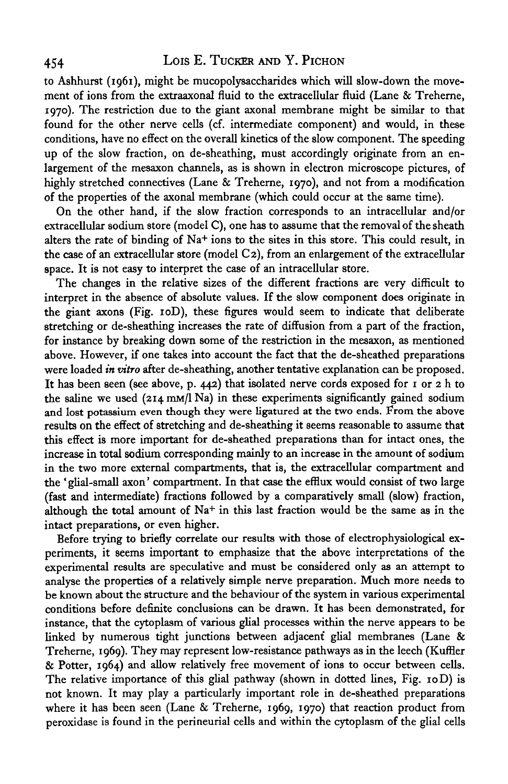# 454 LOIS E. TUCKER AND Y. PICHON

to Ashhurst (1961), might be mucopolysaccharides which will slow-down the movement of ions from the extraaxonal fluid to the extracellular fluid (Lane & Treherne, 1970). The restriction due to the giant axonal membrane might be similar to that found for the other nerve cells (cf. intermediate component) and would, in these conditions, have no effect on the overall kinetics of the slow component. The speeding up of the slow fraction, on de-sheathing, must accordingly originate from an enlargement of the mesaxon channels, as is shown in electron microscope pictures, of highly stretched connectives (Lane & Treherne, 1970), and not from a modification of the properties of the axonal membrane (which could occur at the same time).

On the other hand, if the slow fraction corresponds to an intracellular and/or extracellular sodium store (model C), one has to assume that the removal of the sheath alters the rate of binding of Na<sup>+</sup> ions to the sites in this store. This could result, in the case of an extracellular store (model C2), from an enlargement of the extracellular space. It is not easy to interpret the case of an intracellular store.

The changes in the relative sizes of the different fractions are very difficult to interpret in the absence of absolute values. If the slow component does originate in the giant axons (Fig. 10D), these figures would seem to indicate that deliberate stretching or de-sheathing increases the rate of diffusion from a part of the fraction, for instance by breaking down some of the restriction in the mesaxon, as mentioned above. However, if one takes into account the fact that the de-sheathed preparations were loaded *in vitro* after de-sheathing, another tentative explanation can be proposed. It has been seen (see above, p. 442) that isolated nerve cords exposed for 1 or 2 h to the saline we used  $(214 \text{ mM/l Na})$  in these experiments significantly gained sodium and lost potassium even though they were ligatured at the two ends. From the above results on the effect of stretching and de-sheathing it seems reasonable to assume that this effect is more important for de-sheathed preparations than for intact ones, the increase in total sodium corresponding mainly to an increase in the amount of sodium in the two more external compartments, that is, the extracellular compartment and the 'glial-small axon' compartment. In that case the efflux would consist of two large (fast and intermediate) fractions followed by a comparatively small (slow) fraction, although the total amount of  $Na<sup>+</sup>$  in this last fraction would be the same as in the intact preparations, or even higher.

Before trying to briefly correlate our results with those of electrophysiological experiments, it seems important to emphasize that the above interpretations of the experimental results are speculative and must be considered only as an attempt to analyse the properties of a relatively simple nerve preparation. Much more needs to be known about the structure and the behaviour of the system in various experimental conditions before definite conclusions can be drawn. It has been demonstrated, for instance, that the cytoplasm of various glial processes within the nerve appears to be linked by numerous tight junctions between adjacent glial membranes (Lane & Treherne, 1969). They may represent low-resistance pathways as in the leech (Kuffler & Potter, 1964) and allow relatively free movement of ions to occur between cells. The relative importance of this glial pathway (shown in dotted lines, Fig. 10D) is not known. It may play a particularly important role in de-sheathed preparations where it has been seen (Lane & Treherne, 1969, 1970) that reaction product from peroxidase is found in the perineurial cells and within the cytoplasm of the glial cells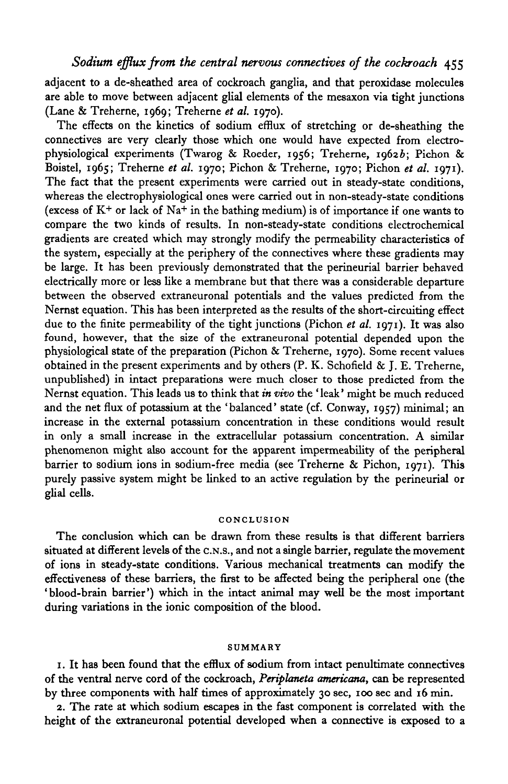adjacent to a de-sheathed area of cockroach ganglia, and that peroxidase molecules are able to move between adjacent glial elements of the mesaxon via tight junctions (Lane & Treherne, 1969; Treherne *et al.* 1970).

The effects on the kinetics of sodium efflux of stretching or de-sheathing the connectives are very clearly those which one would have expected from electrophysiological experiments (Twarog & Roeder, 1956; Treherne, 19626; Pichon & Boistel, 1965; Treherne *et al.* 1970; Pichon & Treherne, 1970; Pichon *et al.* 1971). The fact that the present experiments were carried out in steady-state conditions, whereas the electrophysiological ones were carried out in non-steady-state conditions (excess of  $K^+$  or lack of  $Na^+$  in the bathing medium) is of importance if one wants to compare the two kinds of results. In non-steady-state conditions electrochemical gradients are created which may strongly modify the permeability characteristics of the system, especially at the periphery of the connectives where these gradients may be large. It has been previously demonstrated that the perineurial barrier behaved electrically more or less like a membrane but that there was a considerable departure between the observed extraneuronal potentials and the values predicted from the Nernst equation. This has been interpreted as the results of the short-circuiting effect due to the finite permeability of the tight junctions (Pichon *et al.* 1971). It was also found, however, that the size of the extraneuronal potential depended upon the physiological state of the preparation (Pichon & Treherne, 1970). Some recent values obtained in the present experiments and by others  $(P, K, S)$ chofield & J. E. Treherne, unpublished) in intact preparations were much closer to those predicted from the Nernst equation. This leads us to think that in *vivo* the ' leak' might be much reduced and the net flux of potassium at the 'balanced' state (cf. Conway, 1957) minimal; an increase in the external potassium concentration in these conditions would result in only a small increase in the extracellular potassium concentration. A similar phenomenon might also account for the apparent impermeability of the peripheral barrier to sodium ions in sodium-free media (see Treherne & Pichon, 1971). This purely passive system might be linked to an active regulation by the perineurial or glial cells.

## **CONCLUSION**

The conclusion which can be drawn from these results is that different barriers situated at different levels of the C.N.S., and not a single barrier, regulate the movement of ions in steady-state conditions. Various mechanical treatments can modify the effectiveness of these barriers, the first to be affected being the peripheral one (the 'blood-brain barrier') which in the intact animal may well be the most important during variations in the ionic composition of the blood.

### **SUMMARY**

1. It has been found that the efflux of sodium from intact penultimate connectives of the ventral nerve cord of the cockroach, *Periplaneta americana,* can be represented by three components with half times of approximately 30 sec, 100 sec and 16 min.

2. The rate at which sodium escapes in the fast component is correlated with the height of the extraneuronal potential developed when a connective is exposed to a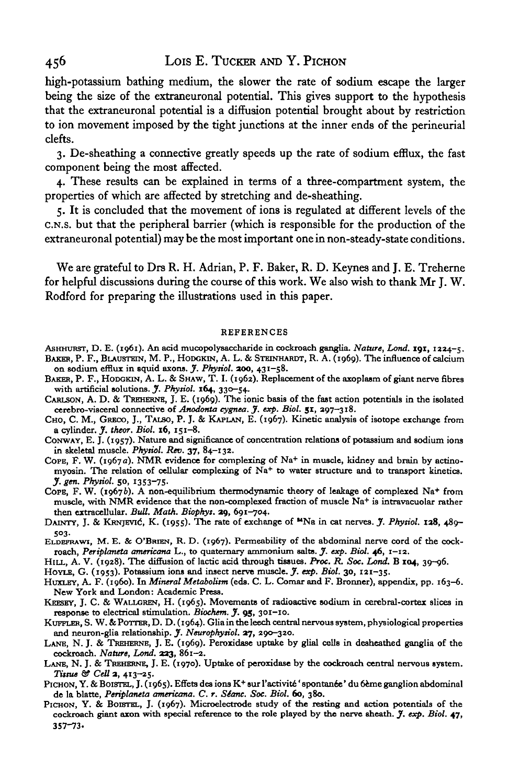high-potassium bathing medium, the slower the rate of sodium escape the larger being the size of the extraneuronal potential. This gives support to the hypothesis that the extraneuronal potential is a diffusion potential brought about by restriction to ion movement imposed by the tight junctions at the inner ends of the perineurial clefts.

3. De-sheathing a connective greatly speeds up the rate of sodium efflux, the fast component being the most affected.

4. These results can be explained in terms of a three-compartment system, the properties of which are affected by stretching and de-sheathing.

5. It is concluded that the movement of ions is regulated at different levels of the C.N.S. but that the peripheral barrier (which is responsible for the production of the extraneuronal potential) may be the most important one in non-steady-state conditions.

We are grateful to Drs R. H. Adrian, P. F. Baker, R. D. Keynes and J. E. Treherne for helpful discussions during the course of this work. We also wish to thank Mr J. W. Rodford for preparing the illustrations used in this paper.

#### REFERENCES

- ASHHURST, D. E. (1961). An acid mucopolysaccharide in cockroach ganglia. *Nature, Lond.* **191**, 1224-5.<br>BAKER, P. F., BLAUSTEIN, M. P., HODGKIN, A. L. & STEINHARDT, R. A. (1969). The influence of calcium<br>on sodium efflux i
- BAKER, P. F., HODGKIN, A. L. & SHAW, T. I. (1962). Replacement of the axoplasm of giant nerve fibres with artificial solutions. *J. Physiol.* 164, 330-54.
- CARLSON, A. D. & TREHERNE, J. E. (1969). The ionic basis of the fast action potentials in the isolated cerebro-visceral connective of *Anodonta cygnea*. *J. exp. Biol.* 51, 297-318.
- CHO, C. M., GRECO, J., TALSO, P. J. & KAPLAN, E. (1967). Kinetic analysis of isotope exchange from a cylinder. *J. theor. Biol.* 16, 151–8.
- CONWAY, E. J. (1957). Nature and significance of concentration relations of potassium and sodium ions in skeletal muscle. *Physiol. Rev.* 37, 84–132.
- in skeletal muscle. *Pkysiol. Rev.* 37, 84-132. COPE, F. W. (1967a). NMR evidence for complexing of Na+ in muscle, kidney and brain by actinomyosin. The relation of cellular complexing of Na<sup>+</sup> to water structure and to transport kinetics.
- *J. gen. Physiol.* 50, 1353-75.<br>COPE, F. W. (1967b). A non-equilibrium thermodynamic theory of leakage of complexed Na<sup>+</sup> ppe, F. W. (1967*b*). A non-equilibrium thermodynamic theory of leakage of complexed Na+ from<br>muscle, with NMR evidence that the non-complexed fraction of muscle Na+ is intravacuolar rather muscle, with NMR evidence that the non-complexed fraction of muscle Na<sup>+</sup> is intravacuolar rather<br>then extracellular. *Bull. Math. Biophys.* 29, 691-704.<br>DAINTY, J. & KRNJEVIĆ, K. (1955). The rate of exchange of <sup>14</sup>Na in
- 
- 503.<br>ELDEFRAWI, M. E. & O'BRIEN, R. D. (1967). Permeability of the abdominal nerve cord of the cock-
- 
- 
- 
- 
- ELDEFRAWI, M. E. & O'BRIEN, R. D. (1967). Permeability of the abdominal nerve cord of the cock-<br>roach, Periplaneta americana L., to quaternary ammonium salts.  $f$ . exp. Biol. 46, 1-12.<br>HILL, A. V. (1928). The diffusion of
- 
- 
- PICHON, Y. & BOISTEL, J. (1965). Effets des ions K+ sur l'activité 'spontanée' du 6ème ganglion abdominal
- de la blatte, Periplaneta americana. C. r. Séanc. Soc. Biol. 60, 380.<br>PICHON, Y. & BOISTEL, J. (1967). Microelectrode study of the resting and action potentials of the cockroach giant axon with special reference to the rol 357-73.